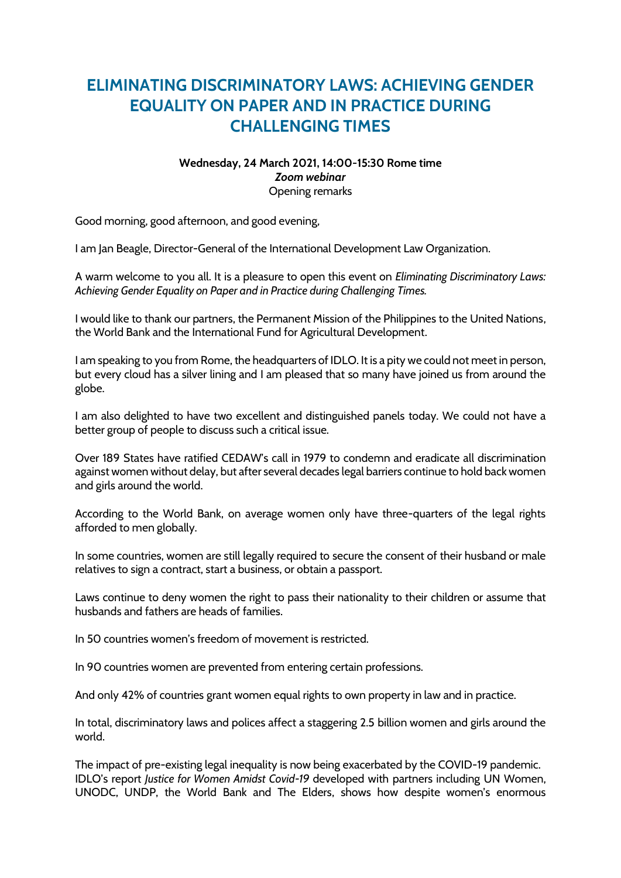## **ELIMINATING DISCRIMINATORY LAWS: ACHIEVING GENDER EQUALITY ON PAPER AND IN PRACTICE DURING CHALLENGING TIMES**

## **Wednesday, 24 March 2021, 14:00-15:30 Rome time** *Zoom webinar* Opening remarks

Good morning, good afternoon, and good evening,

I am Jan Beagle, Director-General of the International Development Law Organization.

A warm welcome to you all. It is a pleasure to open this event on *Eliminating Discriminatory Laws: Achieving Gender Equality on Paper and in Practice during Challenging Times.*

I would like to thank our partners, the Permanent Mission of the Philippines to the United Nations, the World Bank and the International Fund for Agricultural Development.

I am speaking to you from Rome, the headquarters of IDLO. It is a pity we could not meet in person, but every cloud has a silver lining and I am pleased that so many have joined us from around the globe.

I am also delighted to have two excellent and distinguished panels today. We could not have a better group of people to discuss such a critical issue.

Over 189 States have ratified CEDAW's call in 1979 to condemn and eradicate all discrimination against women without delay, but after several decades legal barriers continue to hold back women and girls around the world.

According to the World Bank, on average women only have three-quarters of the legal rights afforded to men globally.

In some countries, women are still legally required to secure the consent of their husband or male relatives to sign a contract, start a business, or obtain a passport.

Laws continue to deny women the right to pass their nationality to their children or assume that husbands and fathers are heads of families.

In 50 countries women's freedom of movement is restricted.

In 90 countries women are prevented from entering certain professions.

And only 42% of countries grant women equal rights to own property in law and in practice.

In total, discriminatory laws and polices affect a staggering 2.5 billion women and girls around the world.

The impact of pre-existing legal inequality is now being exacerbated by the COVID-19 pandemic. IDLO's report *Justice for Women Amidst Covid-19* developed with partners including UN Women, UNODC, UNDP, the World Bank and The Elders, shows how despite women's enormous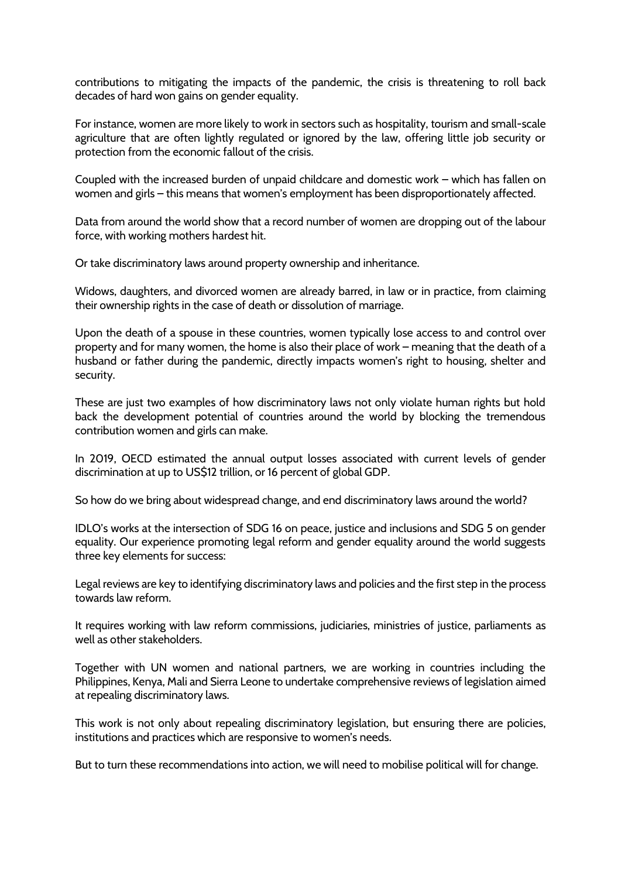contributions to mitigating the impacts of the pandemic, the crisis is threatening to roll back decades of hard won gains on gender equality.

For instance, women are more likely to work in sectors such as hospitality, tourism and small-scale agriculture that are often lightly regulated or ignored by the law, offering little job security or protection from the economic fallout of the crisis.

Coupled with the increased burden of unpaid childcare and domestic work – which has fallen on women and girls – this means that women's employment has been disproportionately affected.

Data from around the world show that a record number of women are dropping out of the labour force, with working mothers hardest hit.

Or take discriminatory laws around property ownership and inheritance.

Widows, daughters, and divorced women are already barred, in law or in practice, from claiming their ownership rights in the case of death or dissolution of marriage.

Upon the death of a spouse in these countries, women typically lose access to and control over property and for many women, the home is also their place of work – meaning that the death of a husband or father during the pandemic, directly impacts women's right to housing, shelter and security.

These are just two examples of how discriminatory laws not only violate human rights but hold back the development potential of countries around the world by blocking the tremendous contribution women and girls can make.

In 2019, OECD estimated the annual output losses associated with current levels of gender discrimination at up to US\$12 trillion, or 16 percent of global GDP.

So how do we bring about widespread change, and end discriminatory laws around the world?

IDLO's works at the intersection of SDG 16 on peace, justice and inclusions and SDG 5 on gender equality. Our experience promoting legal reform and gender equality around the world suggests three key elements for success:

Legal reviews are key to identifying discriminatory laws and policies and the first step in the process towards law reform.

It requires working with law reform commissions, judiciaries, ministries of justice, parliaments as well as other stakeholders.

Together with UN women and national partners, we are working in countries including the Philippines, Kenya, Mali and Sierra Leone to undertake comprehensive reviews of legislation aimed at repealing discriminatory laws.

This work is not only about repealing discriminatory legislation, but ensuring there are policies, institutions and practices which are responsive to women's needs.

But to turn these recommendations into action, we will need to mobilise political will for change.